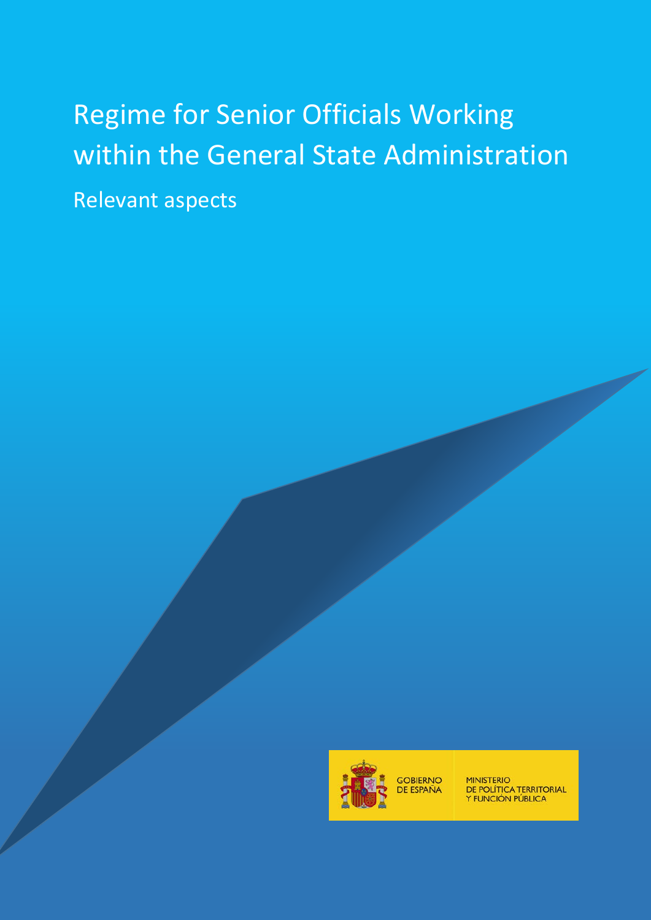# Regime for Senior Officials Working within the General State Administration Relevant aspects



GOBIERNO<br>DE ESPAÑA

MINISTERIO<br>DE POLÍTICA TERRITORIAL<br>Y FUNCIÓN PÚBLICA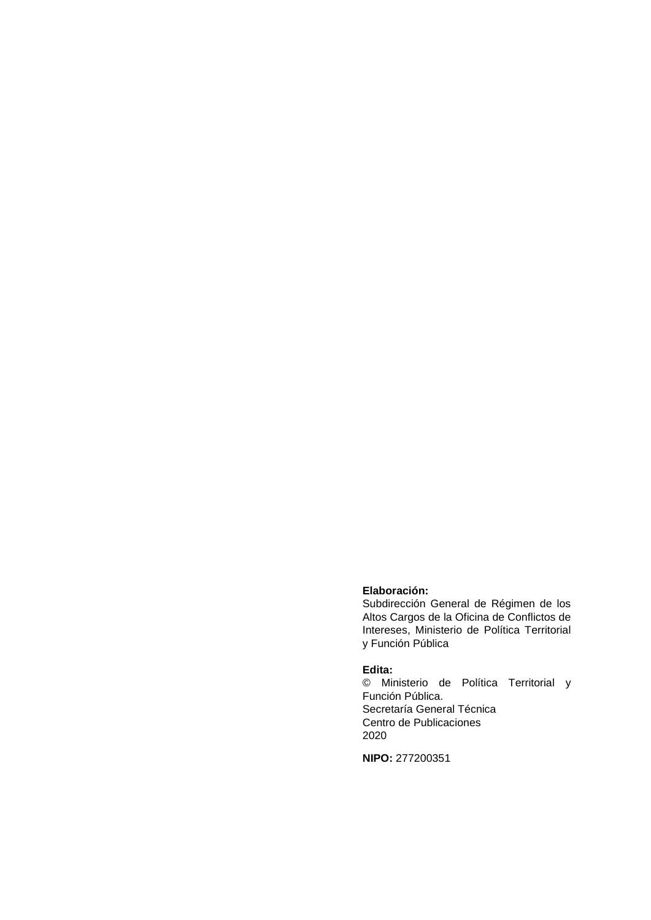#### **Elaboración:**

Subdirección General de Régimen de los Altos Cargos de la Oficina de Conflictos de Intereses, Ministerio de Política Territorial y Función Pública

#### **Edita:**

© Ministerio de Política Territorial y Función Pública. Secretaría General Técnica Centro de Publicaciones 2020

**NIPO:** 277200351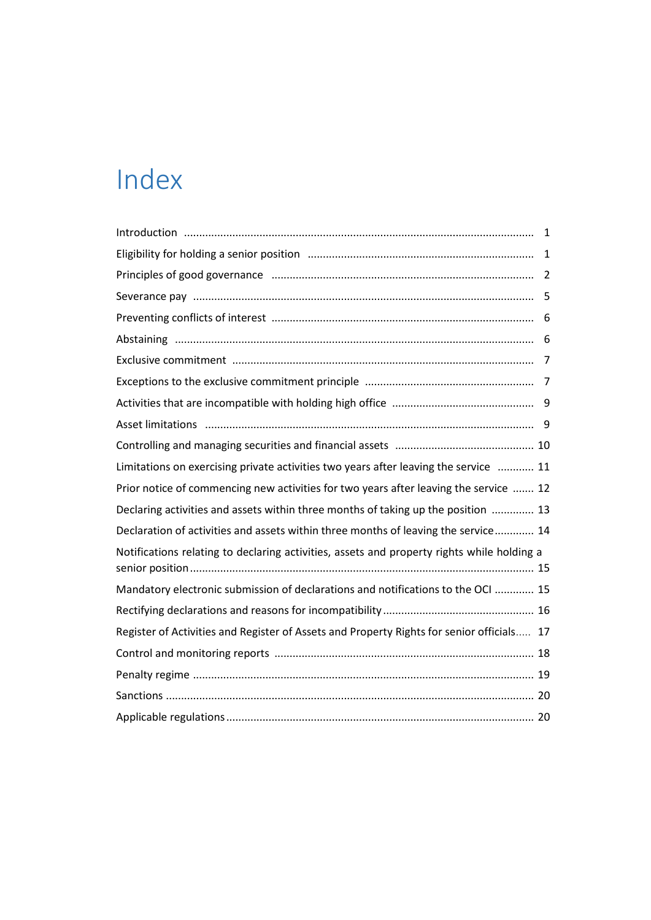# Index

| Limitations on exercising private activities two years after leaving the service  11       |  |
|--------------------------------------------------------------------------------------------|--|
| Prior notice of commencing new activities for two years after leaving the service  12      |  |
| Declaring activities and assets within three months of taking up the position  13          |  |
| Declaration of activities and assets within three months of leaving the service 14         |  |
| Notifications relating to declaring activities, assets and property rights while holding a |  |
| Mandatory electronic submission of declarations and notifications to the OCI  15           |  |
|                                                                                            |  |
| Register of Activities and Register of Assets and Property Rights for senior officials 17  |  |
|                                                                                            |  |
|                                                                                            |  |
|                                                                                            |  |
|                                                                                            |  |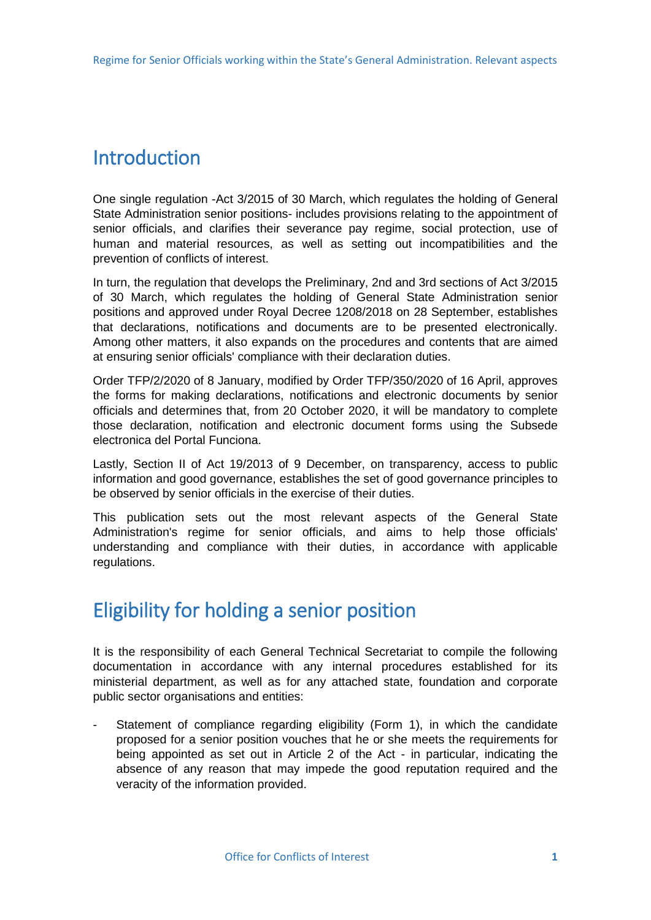# <span id="page-3-0"></span>**Introduction**

One single regulation -Act 3/2015 of 30 March, which regulates the holding of General State Administration senior positions- includes provisions relating to the appointment of senior officials, and clarifies their severance pay regime, social protection, use of human and material resources, as well as setting out incompatibilities and the prevention of conflicts of interest.

In turn, the regulation that develops the Preliminary, 2nd and 3rd sections of Act 3/2015 of 30 March, which regulates the holding of General State Administration senior positions and approved under Royal Decree 1208/2018 on 28 September, establishes that declarations, notifications and documents are to be presented electronically. Among other matters, it also expands on the procedures and contents that are aimed at ensuring senior officials' compliance with their declaration duties.

Order TFP/2/2020 of 8 January, modified by Order TFP/350/2020 of 16 April, approves the forms for making declarations, notifications and electronic documents by senior officials and determines that, from 20 October 2020, it will be mandatory to complete those declaration, notification and electronic document forms using the Subsede electronica del Portal Funciona.

Lastly, Section II of Act 19/2013 of 9 December, on transparency, access to public information and good governance, establishes the set of good governance principles to be observed by senior officials in the exercise of their duties.

This publication sets out the most relevant aspects of the General State Administration's regime for senior officials, and aims to help those officials' understanding and compliance with their duties, in accordance with applicable regulations.

### Eligibility for holding a senior position

It is the responsibility of each General Technical Secretariat to compile the following documentation in accordance with any internal procedures established for its ministerial department, as well as for any attached state, foundation and corporate public sector organisations and entities:

Statement of compliance regarding eligibility (Form 1), in which the candidate proposed for a senior position vouches that he or she meets the requirements for being appointed as set out in Article 2 of the Act - in particular, indicating the absence of any reason that may impede the good reputation required and the veracity of the information provided.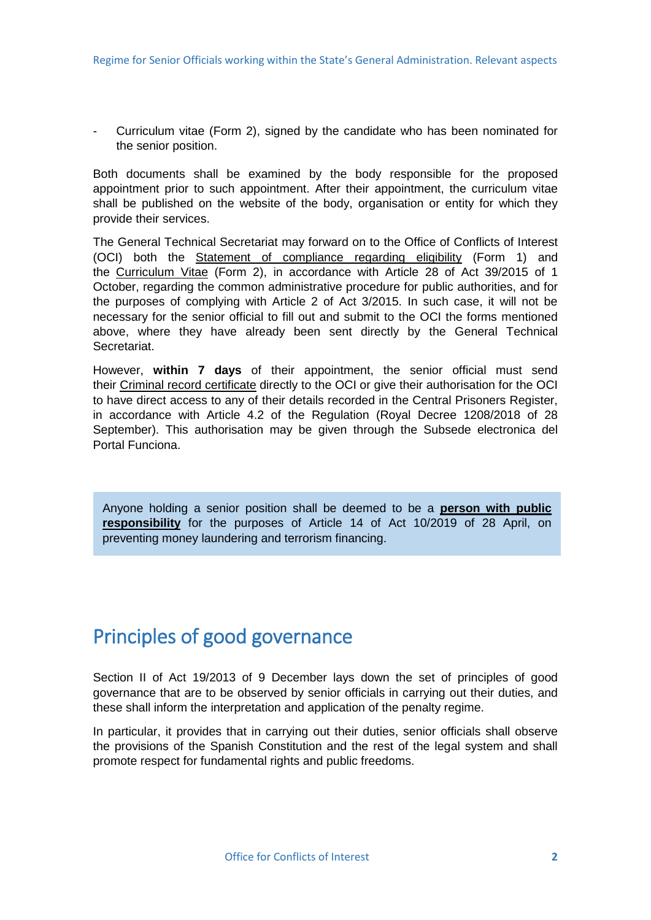<span id="page-4-0"></span>- Curriculum vitae (Form 2), signed by the candidate who has been nominated for the senior position.

Both documents shall be examined by the body responsible for the proposed appointment prior to such appointment. After their appointment, the curriculum vitae shall be published on the website of the body, organisation or entity for which they provide their services.

The General Technical Secretariat may forward on to the Office of Conflicts of Interest (OCI) both the Statement of compliance regarding eligibility (Form 1) and the Curriculum Vitae (Form 2), in accordance with Article 28 of Act 39/2015 of 1 October, regarding the common administrative procedure for public authorities, and for the purposes of complying with Article 2 of Act 3/2015. In such case, it will not be necessary for the senior official to fill out and submit to the OCI the forms mentioned above, where they have already been sent directly by the General Technical Secretariat.

However, **within 7 days** of their appointment, the senior official must send their Criminal record certificate directly to the OCI or give their authorisation for the OCI to have direct access to any of their details recorded in the Central Prisoners Register, in accordance with Article 4.2 of the Regulation (Royal Decree 1208/2018 of 28 September). This authorisation may be given through the Subsede electronica del Portal Funciona.

Anyone holding a senior position shall be deemed to be a **person with public responsibility** for the purposes of Article 14 of Act 10/2019 of 28 April, on preventing money laundering and terrorism financing.

# Principles of good governance

Section II of Act 19/2013 of 9 December lays down the set of principles of good governance that are to be observed by senior officials in carrying out their duties, and these shall inform the interpretation and application of the penalty regime.

In particular, it provides that in carrying out their duties, senior officials shall observe the provisions of the Spanish Constitution and the rest of the legal system and shall promote respect for fundamental rights and public freedoms.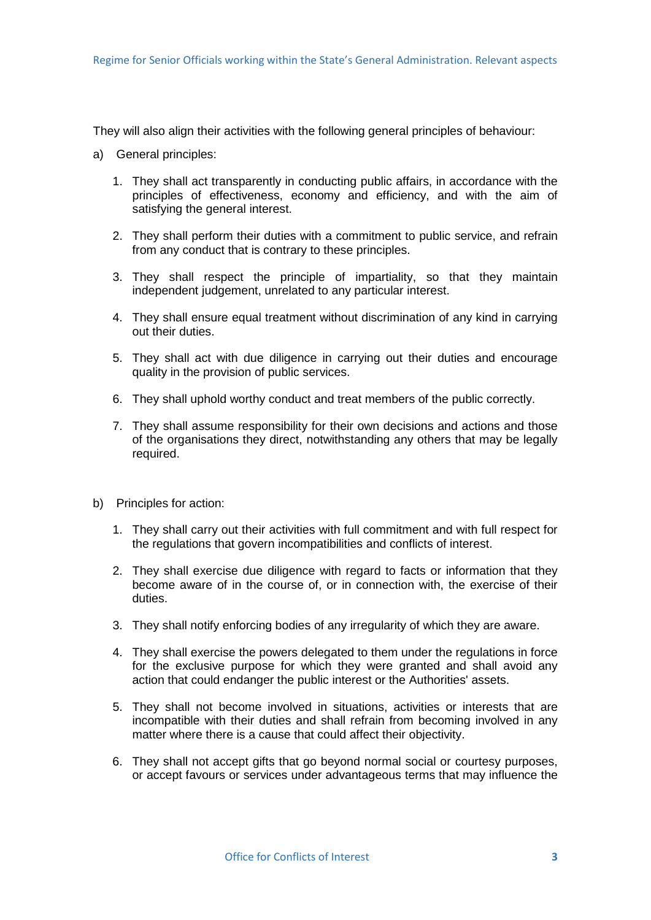They will also align their activities with the following general principles of behaviour:

- a) General principles:
	- 1. They shall act transparently in conducting public affairs, in accordance with the principles of effectiveness, economy and efficiency, and with the aim of satisfying the general interest.
	- 2. They shall perform their duties with a commitment to public service, and refrain from any conduct that is contrary to these principles.
	- 3. They shall respect the principle of impartiality, so that they maintain independent judgement, unrelated to any particular interest.
	- 4. They shall ensure equal treatment without discrimination of any kind in carrying out their duties.
	- 5. They shall act with due diligence in carrying out their duties and encourage quality in the provision of public services.
	- 6. They shall uphold worthy conduct and treat members of the public correctly.
	- 7. They shall assume responsibility for their own decisions and actions and those of the organisations they direct, notwithstanding any others that may be legally required.
- b) Principles for action:
	- 1. They shall carry out their activities with full commitment and with full respect for the regulations that govern incompatibilities and conflicts of interest.
	- 2. They shall exercise due diligence with regard to facts or information that they become aware of in the course of, or in connection with, the exercise of their duties.
	- 3. They shall notify enforcing bodies of any irregularity of which they are aware.
	- 4. They shall exercise the powers delegated to them under the regulations in force for the exclusive purpose for which they were granted and shall avoid any action that could endanger the public interest or the Authorities' assets.
	- 5. They shall not become involved in situations, activities or interests that are incompatible with their duties and shall refrain from becoming involved in any matter where there is a cause that could affect their objectivity.
	- 6. They shall not accept gifts that go beyond normal social or courtesy purposes, or accept favours or services under advantageous terms that may influence the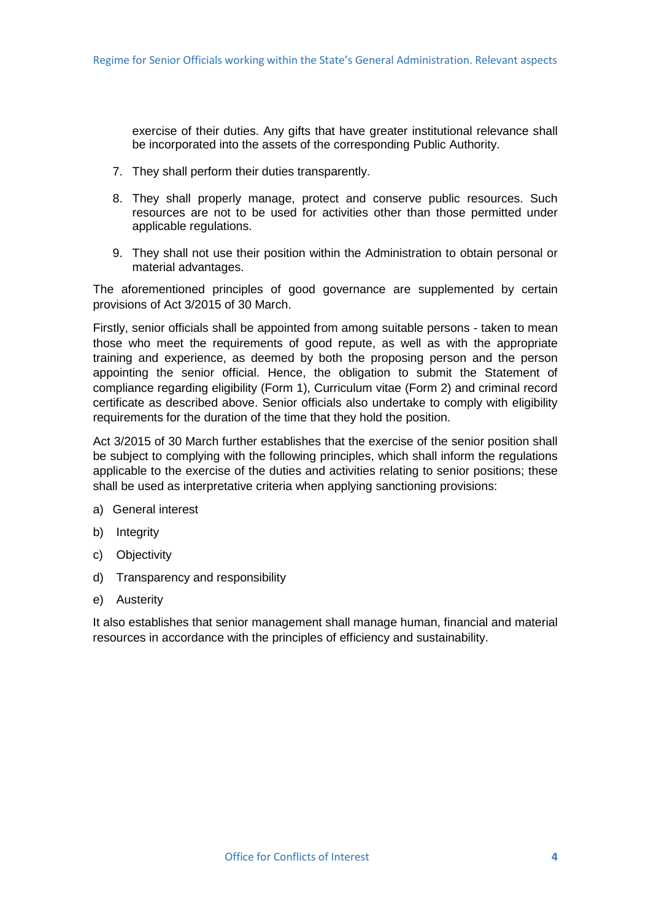exercise of their duties. Any gifts that have greater institutional relevance shall be incorporated into the assets of the corresponding Public Authority.

- 7. They shall perform their duties transparently.
- 8. They shall properly manage, protect and conserve public resources. Such resources are not to be used for activities other than those permitted under applicable regulations.
- 9. They shall not use their position within the Administration to obtain personal or material advantages.

The aforementioned principles of good governance are supplemented by certain provisions of Act 3/2015 of 30 March.

Firstly, senior officials shall be appointed from among suitable persons - taken to mean those who meet the requirements of good repute, as well as with the appropriate training and experience, as deemed by both the proposing person and the person appointing the senior official. Hence, the obligation to submit the Statement of compliance regarding eligibility (Form 1), Curriculum vitae (Form 2) and criminal record certificate as described above. Senior officials also undertake to comply with eligibility requirements for the duration of the time that they hold the position.

Act 3/2015 of 30 March further establishes that the exercise of the senior position shall be subject to complying with the following principles, which shall inform the regulations applicable to the exercise of the duties and activities relating to senior positions; these shall be used as interpretative criteria when applying sanctioning provisions:

- a) General interest
- b) Integrity
- c) Objectivity
- d) Transparency and responsibility
- e) Austerity

It also establishes that senior management shall manage human, financial and material resources in accordance with the principles of efficiency and sustainability.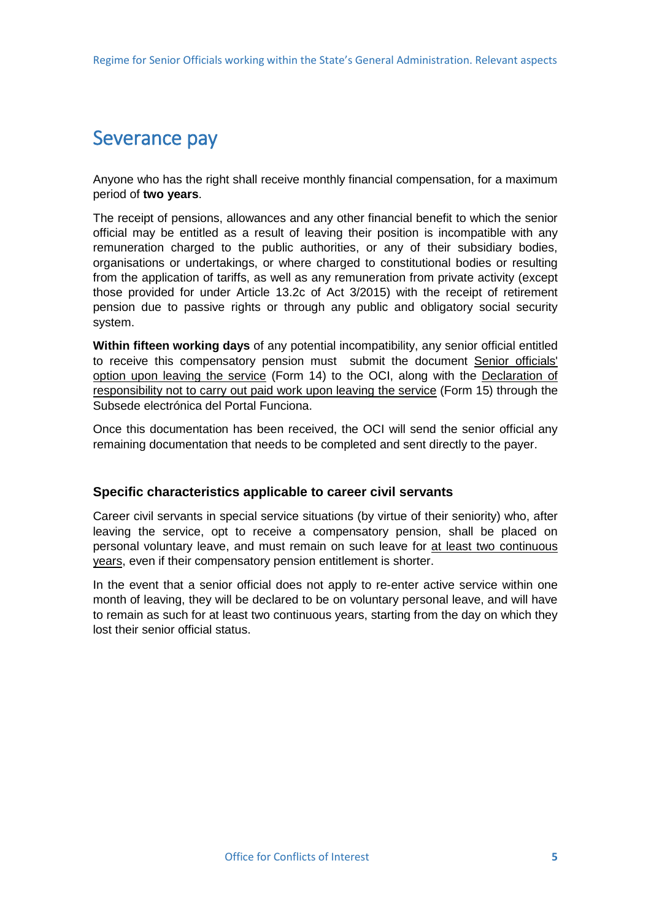### <span id="page-7-0"></span>Severance pay

Anyone who has the right shall receive monthly financial compensation, for a maximum period of **two years**.

The receipt of pensions, allowances and any other financial benefit to which the senior official may be entitled as a result of leaving their position is incompatible with any remuneration charged to the public authorities, or any of their subsidiary bodies, organisations or undertakings, or where charged to constitutional bodies or resulting from the application of tariffs, as well as any remuneration from private activity (except those provided for under Article 13.2c of Act 3/2015) with the receipt of retirement pension due to passive rights or through any public and obligatory social security system.

**Within fifteen working days** of any potential incompatibility, any senior official entitled to receive this compensatory pension must submit the document Senior officials' option upon leaving the service (Form 14) to the OCI, along with the Declaration of responsibility not to carry out paid work upon leaving the service (Form 15) through the Subsede electrónica del Portal Funciona.

Once this documentation has been received, the OCI will send the senior official any remaining documentation that needs to be completed and sent directly to the payer.

### **Specific characteristics applicable to career civil servants**

Career civil servants in special service situations (by virtue of their seniority) who, after leaving the service, opt to receive a compensatory pension, shall be placed on personal voluntary leave, and must remain on such leave for at least two continuous years, even if their compensatory pension entitlement is shorter.

In the event that a senior official does not apply to re-enter active service within one month of leaving, they will be declared to be on voluntary personal leave, and will have to remain as such for at least two continuous years, starting from the day on which they lost their senior official status.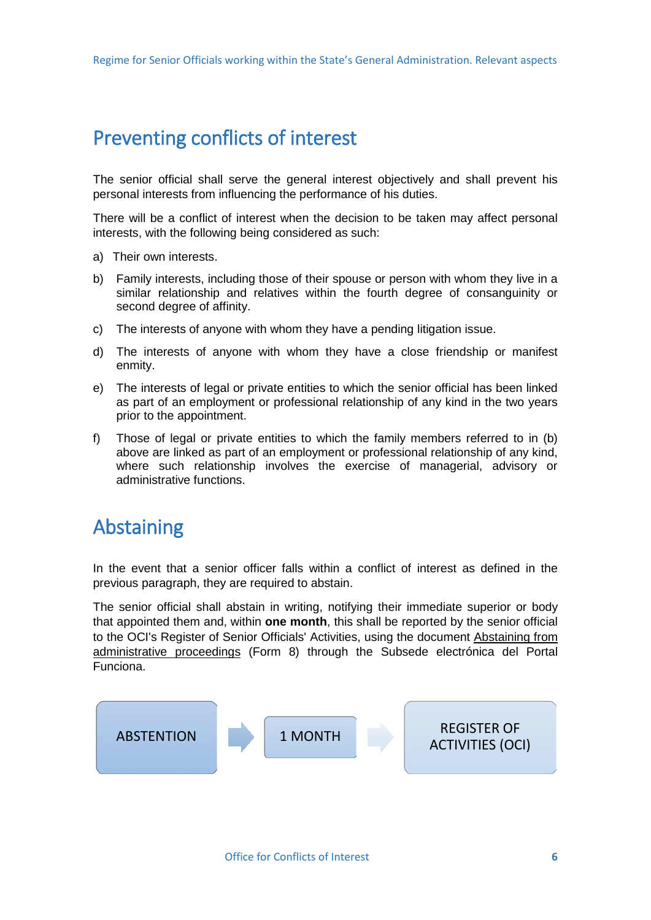# <span id="page-8-0"></span>Preventing conflicts of interest

The senior official shall serve the general interest objectively and shall prevent his personal interests from influencing the performance of his duties.

There will be a conflict of interest when the decision to be taken may affect personal interests, with the following being considered as such:

- a) Their own interests.
- b) Family interests, including those of their spouse or person with whom they live in a similar relationship and relatives within the fourth degree of consanguinity or second degree of affinity.
- c) The interests of anyone with whom they have a pending litigation issue.
- d) The interests of anyone with whom they have a close friendship or manifest enmity.
- e) The interests of legal or private entities to which the senior official has been linked as part of an employment or professional relationship of any kind in the two years prior to the appointment.
- f) Those of legal or private entities to which the family members referred to in (b) above are linked as part of an employment or professional relationship of any kind, where such relationship involves the exercise of managerial, advisory or administrative functions.

# Abstaining

In the event that a senior officer falls within a conflict of interest as defined in the previous paragraph, they are required to abstain.

The senior official shall abstain in writing, notifying their immediate superior or body that appointed them and, within **one month**, this shall be reported by the senior official to the OCI's Register of Senior Officials' Activities, using the document Abstaining from administrative proceedings (Form 8) through the Subsede electrónica del Portal Funciona.

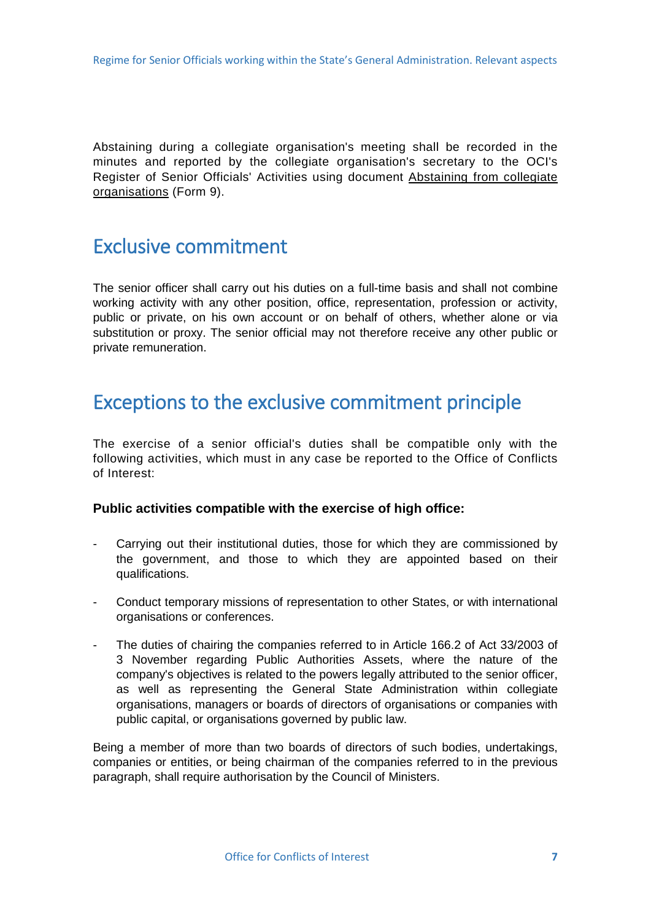<span id="page-9-0"></span>Abstaining during a collegiate organisation's meeting shall be recorded in the minutes and reported by the collegiate organisation's secretary to the OCI's Register of Senior Officials' Activities using document Abstaining from collegiate organisations (Form 9).

### Exclusive commitment

The senior officer shall carry out his duties on a full-time basis and shall not combine working activity with any other position, office, representation, profession or activity, public or private, on his own account or on behalf of others, whether alone or via substitution or proxy. The senior official may not therefore receive any other public or private remuneration.

### Exceptions to the exclusive commitment principle

The exercise of a senior official's duties shall be compatible only with the following activities, which must in any case be reported to the Office of Conflicts of Interest:

#### **Public activities compatible with the exercise of high office:**

- Carrying out their institutional duties, those for which they are commissioned by the government, and those to which they are appointed based on their qualifications.
- Conduct temporary missions of representation to other States, or with international organisations or conferences.
- The duties of chairing the companies referred to in Article 166.2 of Act 33/2003 of 3 November regarding Public Authorities Assets, where the nature of the company's objectives is related to the powers legally attributed to the senior officer, as well as representing the General State Administration within collegiate organisations, managers or boards of directors of organisations or companies with public capital, or organisations governed by public law.

Being a member of more than two boards of directors of such bodies, undertakings, companies or entities, or being chairman of the companies referred to in the previous paragraph, shall require authorisation by the Council of Ministers.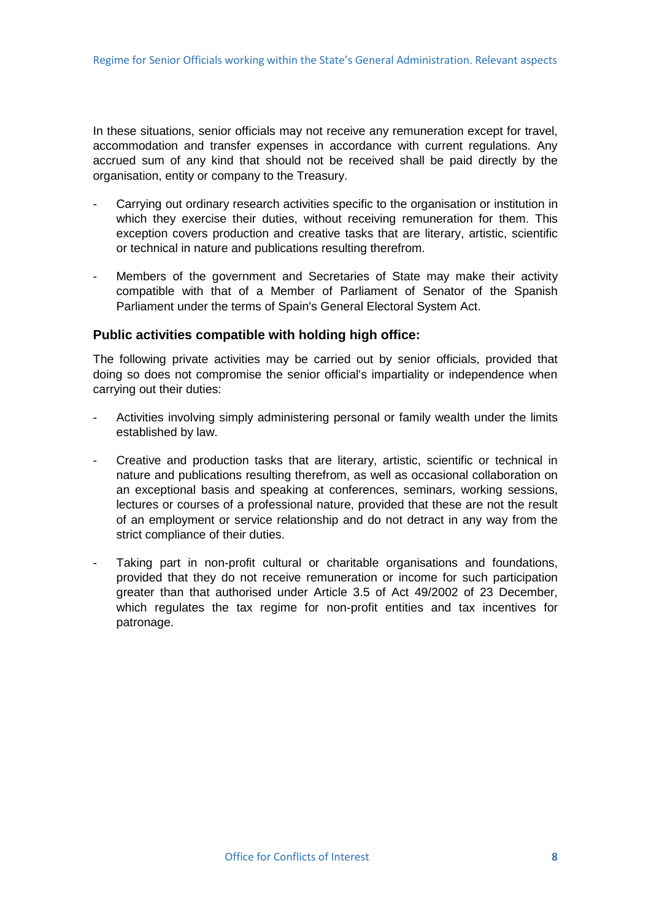In these situations, senior officials may not receive any remuneration except for travel, accommodation and transfer expenses in accordance with current regulations. Any accrued sum of any kind that should not be received shall be paid directly by the organisation, entity or company to the Treasury.

- Carrying out ordinary research activities specific to the organisation or institution in which they exercise their duties, without receiving remuneration for them. This exception covers production and creative tasks that are literary, artistic, scientific or technical in nature and publications resulting therefrom.
- Members of the government and Secretaries of State may make their activity compatible with that of a Member of Parliament of Senator of the Spanish Parliament under the terms of Spain's General Electoral System Act.

#### **Public activities compatible with holding high office:**

The following private activities may be carried out by senior officials, provided that doing so does not compromise the senior official's impartiality or independence when carrying out their duties:

- Activities involving simply administering personal or family wealth under the limits established by law.
- Creative and production tasks that are literary, artistic, scientific or technical in nature and publications resulting therefrom, as well as occasional collaboration on an exceptional basis and speaking at conferences, seminars, working sessions, lectures or courses of a professional nature, provided that these are not the result of an employment or service relationship and do not detract in any way from the strict compliance of their duties.
- Taking part in non-profit cultural or charitable organisations and foundations, provided that they do not receive remuneration or income for such participation greater than that authorised under Article 3.5 of Act 49/2002 of 23 December, which regulates the tax regime for non-profit entities and tax incentives for patronage.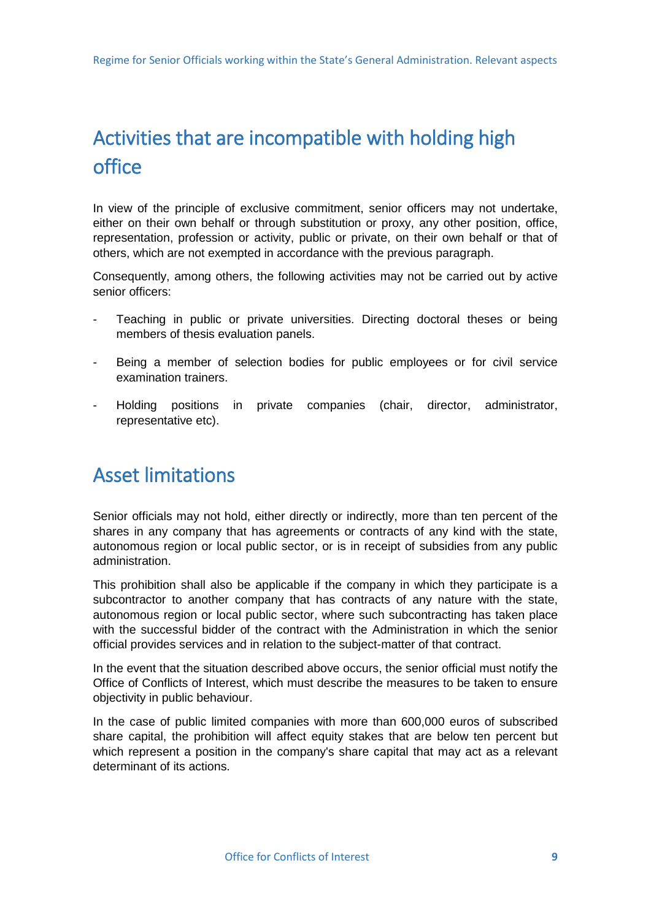# <span id="page-11-0"></span>Activities that are incompatible with holding high office

In view of the principle of exclusive commitment, senior officers may not undertake, either on their own behalf or through substitution or proxy, any other position, office, representation, profession or activity, public or private, on their own behalf or that of others, which are not exempted in accordance with the previous paragraph.

Consequently, among others, the following activities may not be carried out by active senior officers:

- Teaching in public or private universities. Directing doctoral theses or being members of thesis evaluation panels.
- Being a member of selection bodies for public employees or for civil service examination trainers.
- Holding positions in private companies (chair, director, administrator, representative etc).

### Asset limitations

Senior officials may not hold, either directly or indirectly, more than ten percent of the shares in any company that has agreements or contracts of any kind with the state, autonomous region or local public sector, or is in receipt of subsidies from any public administration.

This prohibition shall also be applicable if the company in which they participate is a subcontractor to another company that has contracts of any nature with the state, autonomous region or local public sector, where such subcontracting has taken place with the successful bidder of the contract with the Administration in which the senior official provides services and in relation to the subject-matter of that contract.

In the event that the situation described above occurs, the senior official must notify the Office of Conflicts of Interest, which must describe the measures to be taken to ensure objectivity in public behaviour.

In the case of public limited companies with more than 600,000 euros of subscribed share capital, the prohibition will affect equity stakes that are below ten percent but which represent a position in the company's share capital that may act as a relevant determinant of its actions.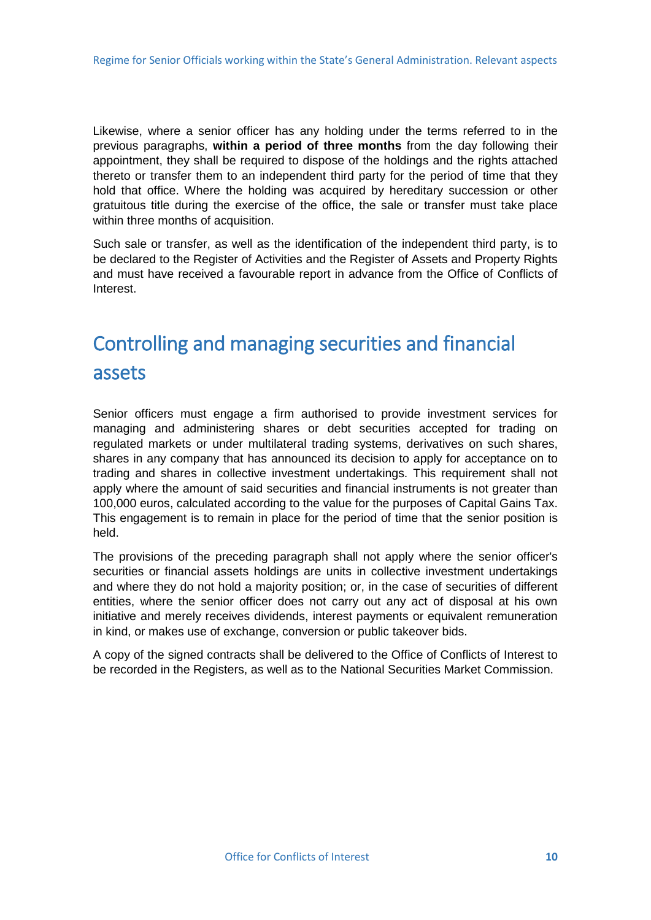<span id="page-12-0"></span>Likewise, where a senior officer has any holding under the terms referred to in the previous paragraphs, **within a period of three months** from the day following their appointment, they shall be required to dispose of the holdings and the rights attached thereto or transfer them to an independent third party for the period of time that they hold that office. Where the holding was acquired by hereditary succession or other gratuitous title during the exercise of the office, the sale or transfer must take place within three months of acquisition.

Such sale or transfer, as well as the identification of the independent third party, is to be declared to the Register of Activities and the Register of Assets and Property Rights and must have received a favourable report in advance from the Office of Conflicts of Interest.

# Controlling and managing securities and financial assets

Senior officers must engage a firm authorised to provide investment services for managing and administering shares or debt securities accepted for trading on regulated markets or under multilateral trading systems, derivatives on such shares, shares in any company that has announced its decision to apply for acceptance on to trading and shares in collective investment undertakings. This requirement shall not apply where the amount of said securities and financial instruments is not greater than 100,000 euros, calculated according to the value for the purposes of Capital Gains Tax. This engagement is to remain in place for the period of time that the senior position is held.

The provisions of the preceding paragraph shall not apply where the senior officer's securities or financial assets holdings are units in collective investment undertakings and where they do not hold a majority position; or, in the case of securities of different entities, where the senior officer does not carry out any act of disposal at his own initiative and merely receives dividends, interest payments or equivalent remuneration in kind, or makes use of exchange, conversion or public takeover bids.

A copy of the signed contracts shall be delivered to the Office of Conflicts of Interest to be recorded in the Registers, as well as to the National Securities Market Commission.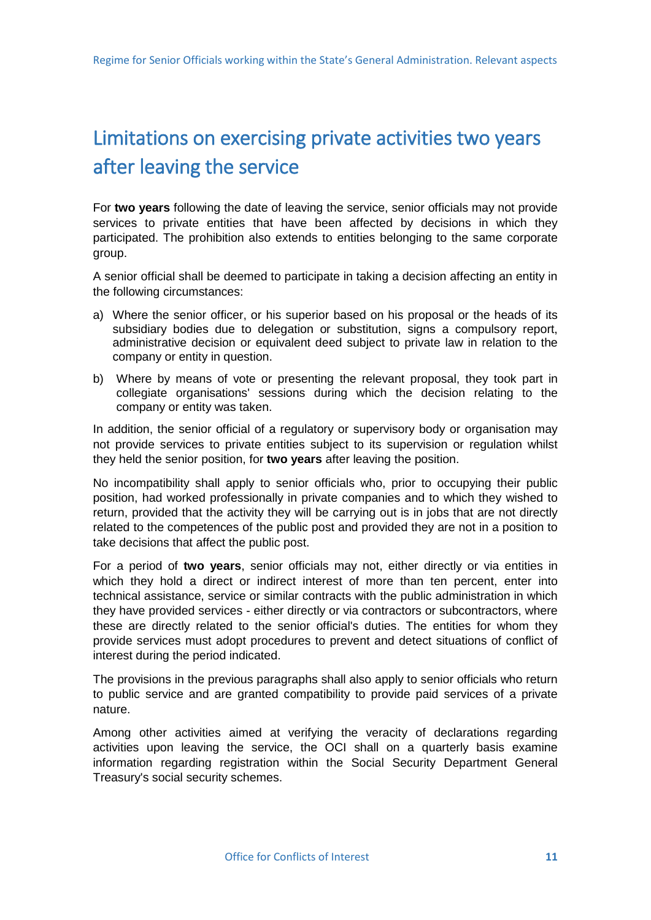# <span id="page-13-0"></span>Limitations on exercising private activities two years after leaving the service

For **two years** following the date of leaving the service, senior officials may not provide services to private entities that have been affected by decisions in which they participated. The prohibition also extends to entities belonging to the same corporate group.

A senior official shall be deemed to participate in taking a decision affecting an entity in the following circumstances:

- a) Where the senior officer, or his superior based on his proposal or the heads of its subsidiary bodies due to delegation or substitution, signs a compulsory report, administrative decision or equivalent deed subject to private law in relation to the company or entity in question.
- b) Where by means of vote or presenting the relevant proposal, they took part in collegiate organisations' sessions during which the decision relating to the company or entity was taken.

In addition, the senior official of a regulatory or supervisory body or organisation may not provide services to private entities subject to its supervision or regulation whilst they held the senior position, for **two years** after leaving the position.

No incompatibility shall apply to senior officials who, prior to occupying their public position, had worked professionally in private companies and to which they wished to return, provided that the activity they will be carrying out is in jobs that are not directly related to the competences of the public post and provided they are not in a position to take decisions that affect the public post.

For a period of **two years**, senior officials may not, either directly or via entities in which they hold a direct or indirect interest of more than ten percent, enter into technical assistance, service or similar contracts with the public administration in which they have provided services - either directly or via contractors or subcontractors, where these are directly related to the senior official's duties. The entities for whom they provide services must adopt procedures to prevent and detect situations of conflict of interest during the period indicated.

The provisions in the previous paragraphs shall also apply to senior officials who return to public service and are granted compatibility to provide paid services of a private nature.

Among other activities aimed at verifying the veracity of declarations regarding activities upon leaving the service, the OCI shall on a quarterly basis examine information regarding registration within the Social Security Department General Treasury's social security schemes.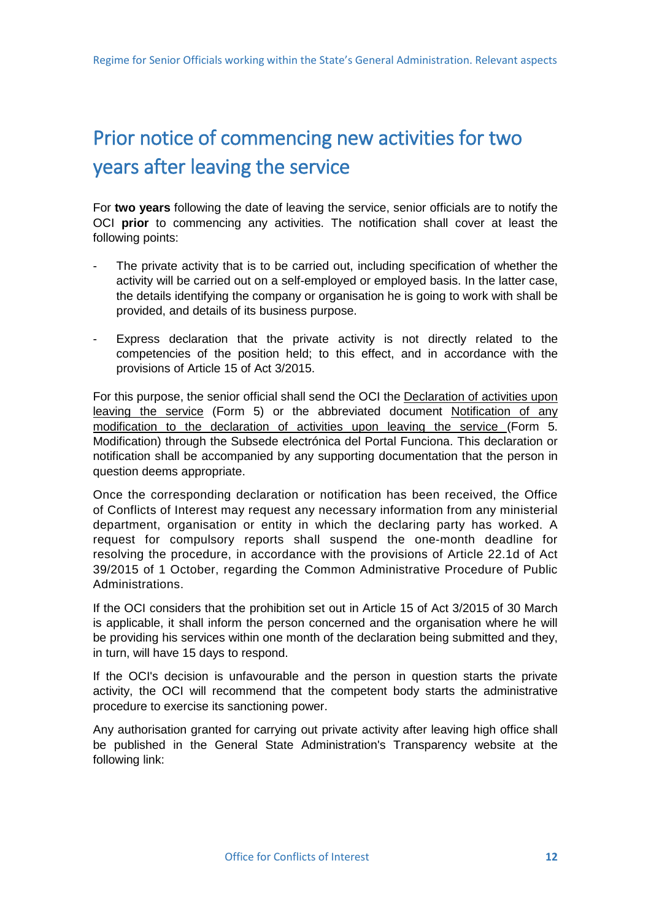# <span id="page-14-0"></span>Prior notice of commencing new activities for two years after leaving the service

For **two years** following the date of leaving the service, senior officials are to notify the OCI **prior** to commencing any activities. The notification shall cover at least the following points:

- The private activity that is to be carried out, including specification of whether the activity will be carried out on a self-employed or employed basis. In the latter case, the details identifying the company or organisation he is going to work with shall be provided, and details of its business purpose.
- Express declaration that the private activity is not directly related to the competencies of the position held; to this effect, and in accordance with the provisions of Article 15 of Act 3/2015.

For this purpose, the senior official shall send the OCI the Declaration of activities upon leaving the service (Form 5) or the abbreviated document Notification of any modification to the declaration of activities upon leaving the service (Form 5. Modification) through the Subsede electrónica del Portal Funciona. This declaration or notification shall be accompanied by any supporting documentation that the person in question deems appropriate.

Once the corresponding declaration or notification has been received, the Office of Conflicts of Interest may request any necessary information from any ministerial department, organisation or entity in which the declaring party has worked. A request for compulsory reports shall suspend the one-month deadline for resolving the procedure, in accordance with the provisions of Article 22.1d of Act 39/2015 of 1 October, regarding the Common Administrative Procedure of Public Administrations.

If the OCI considers that the prohibition set out in Article 15 of Act 3/2015 of 30 March is applicable, it shall inform the person concerned and the organisation where he will be providing his services within one month of the declaration being submitted and they, in turn, will have 15 days to respond.

If the OCI's decision is unfavourable and the person in question starts the private activity, the OCI will recommend that the competent body starts the administrative procedure to exercise its sanctioning power.

Any authorisation granted for carrying out private activity after leaving high office shall be published in the General State Administration's Transparency website at the following link: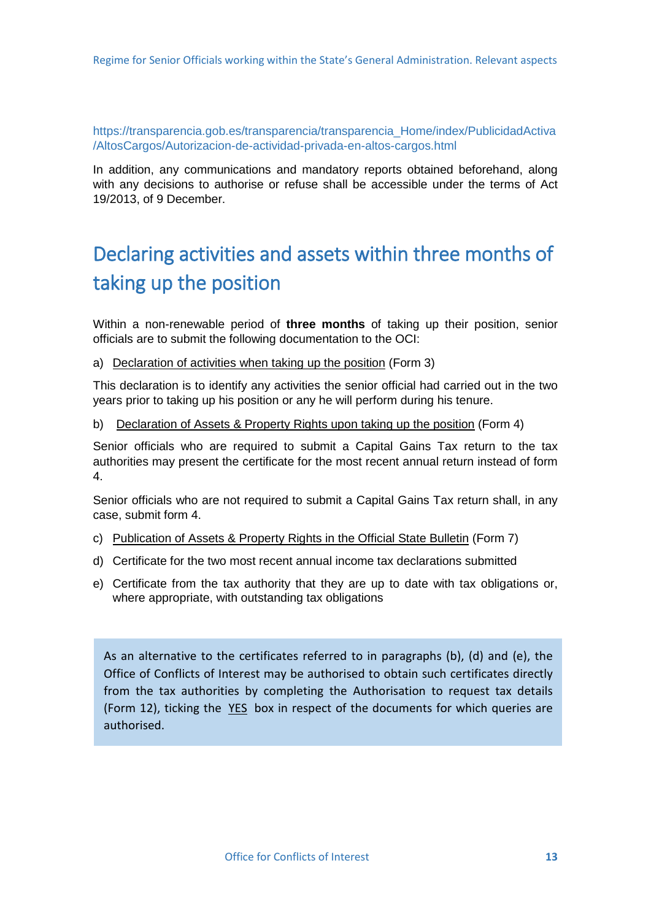<span id="page-15-0"></span>[https://transparencia.gob.es/transparencia/transparencia\\_Home/index/PublicidadActiva](https://transparencia.gob.es/transparencia/transparencia_Home/index/PublicidadActiva/AltosCargos/Autorizacion-de-actividad-privada-en-altos-cargos.html) [/AltosCargos/Autorizacion-de-actividad-privada-en-altos-cargos.html](https://transparencia.gob.es/transparencia/transparencia_Home/index/PublicidadActiva/AltosCargos/Autorizacion-de-actividad-privada-en-altos-cargos.html)

In addition, any communications and mandatory reports obtained beforehand, along with any decisions to authorise or refuse shall be accessible under the terms of Act 19/2013, of 9 December.

# Declaring activities and assets within three months of taking up the position

Within a non-renewable period of **three months** of taking up their position, senior officials are to submit the following documentation to the OCI:

a) Declaration of activities when taking up the position (Form 3)

This declaration is to identify any activities the senior official had carried out in the two years prior to taking up his position or any he will perform during his tenure.

b) Declaration of Assets & Property Rights upon taking up the position (Form 4)

Senior officials who are required to submit a Capital Gains Tax return to the tax authorities may present the certificate for the most recent annual return instead of form 4.

Senior officials who are not required to submit a Capital Gains Tax return shall, in any case, submit form 4.

- c) Publication of Assets & Property Rights in the Official State Bulletin (Form 7)
- d) Certificate for the two most recent annual income tax declarations submitted
- e) Certificate from the tax authority that they are up to date with tax obligations or, where appropriate, with outstanding tax obligations

As an alternative to the certificates referred to in paragraphs (b), (d) and (e), the Office of Conflicts of Interest may be authorised to obtain such certificates directly from the tax authorities by completing the Authorisation to request tax details (Form 12), ticking the YES box in respect of the documents for which queries are authorised.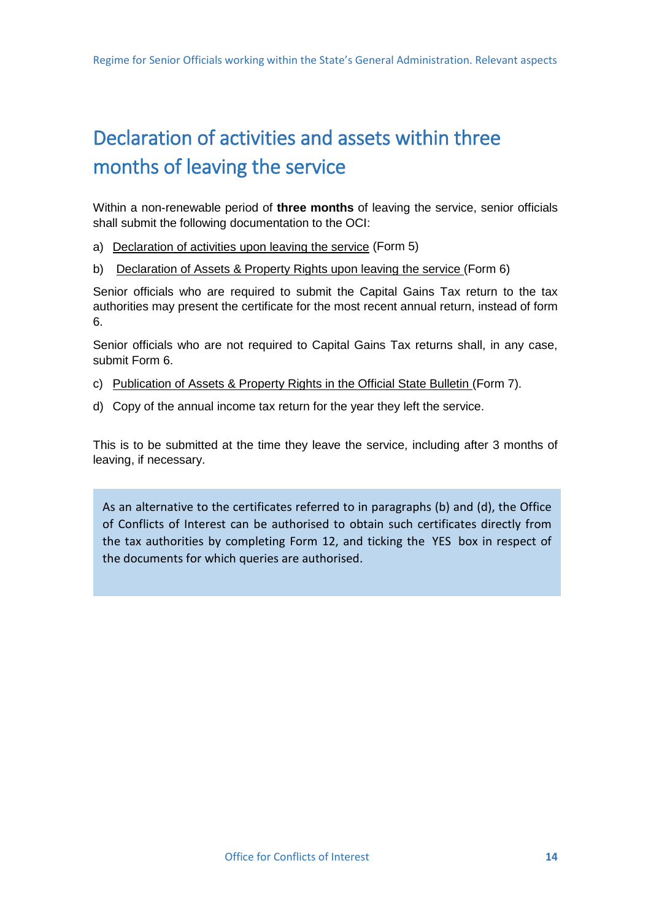# <span id="page-16-0"></span>Declaration of activities and assets within three months of leaving the service

Within a non-renewable period of **three months** of leaving the service, senior officials shall submit the following documentation to the OCI:

a) Declaration of activities upon leaving the service (Form 5)

Ĩ

b) [Declaration of Assets & Property Rights upon leaving the service \(](https://pre-servicios.funciona.gob.es/public/servicios/solicitudes-alto-cargo/solicitudes-alto-cargo-electronica/formulario06.html)Form 6)

Senior officials who are required to submit the Capital Gains Tax return to the tax authorities may present the certificate for the most recent annual return, instead of form 6.

Senior officials who are not required to Capital Gains Tax returns shall, in any case, submit Form 6.

- c) [Publication of Assets & Property Rights in the Official State Bulletin \(](https://pre-servicios.funciona.gob.es/public/servicios/solicitudes-alto-cargo/solicitudes-alto-cargo-electronica/formulario07.html)Form 7).
- d) Copy of the annual income tax return for the year they left the service.

This is to be submitted at the time they leave the service, including after 3 months of leaving, if necessary.

As an alternative to the certificates referred to in paragraphs (b) and (d), the Office of Conflicts of Interest can be authorised to obtain such certificates directly from the tax authorities by completing Form 12, and ticking the YES box in respect of the documents for which queries are authorised.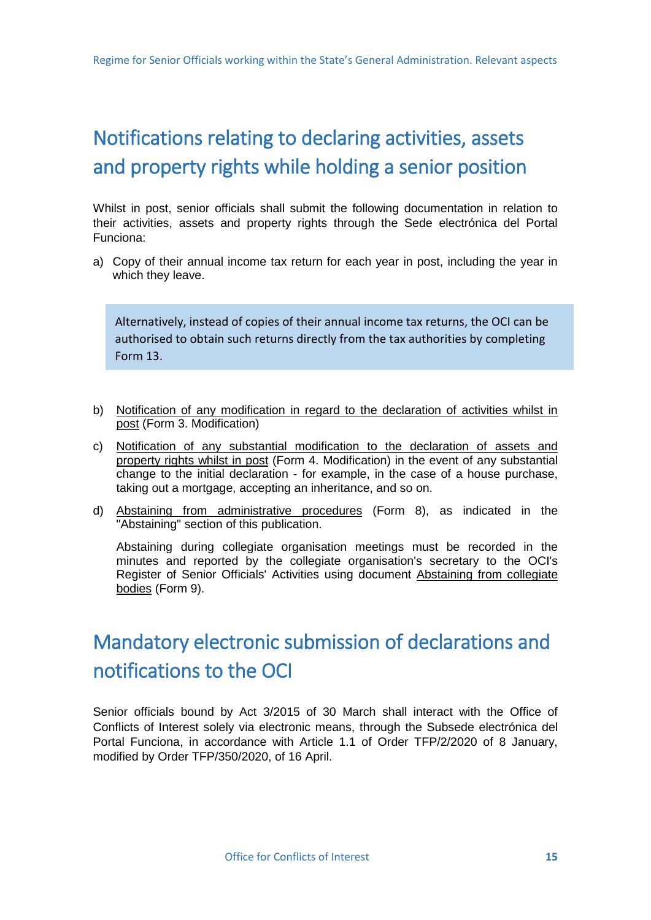# <span id="page-17-0"></span>Notifications relating to declaring activities, assets and property rights while holding a senior position

Whilst in post, senior officials shall submit the following documentation in relation to their activities, assets and property rights through the Sede electrónica del Portal Funciona:

a) Copy of their annual income tax return for each year in post, including the year in which they leave.

Alternatively, instead of copies of their annual income tax returns, the OCI can be authorised to obtain such returns directly from the tax authorities by completing Form 13.

- b) Notification of any modification in regard to the declaration of activities whilst in post (Form 3. Modification)
- c) Notification of any substantial modification to the declaration of assets and property rights whilst in post (Form 4. Modification) in the event of any substantial change to the initial declaration - for example, in the case of a house purchase, taking out a mortgage, accepting an inheritance, and so on.
- d) Abstaining from administrative procedures (Form 8), as indicated in the "Abstaining" section of this publication.

Abstaining during collegiate organisation meetings must be recorded in the minutes and reported by the collegiate organisation's secretary to the OCI's Register of Senior Officials' Activities using document Abstaining from collegiate bodies (Form 9).

# Mandatory electronic submission of declarations and notifications to the OCI

Senior officials bound by Act 3/2015 of 30 March shall interact with the Office of Conflicts of Interest solely via electronic means, through the Subsede electrónica del Portal Funciona, in accordance with Article 1.1 of Order TFP/2/2020 of 8 January, modified by Order TFP/350/2020, of 16 April.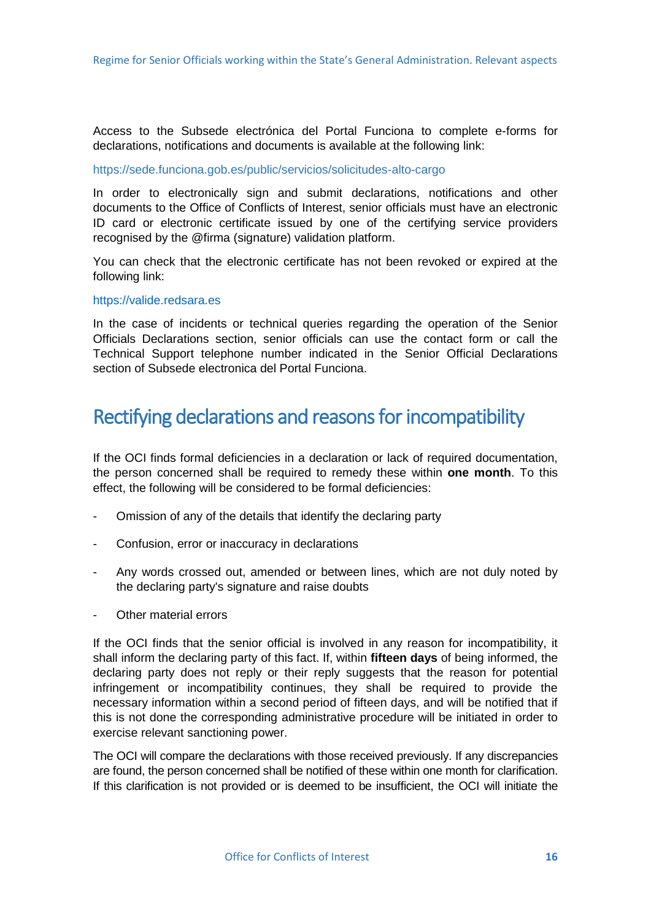<span id="page-18-0"></span>Access to the Subsede electrónica del Portal Funciona to complete e-forms for declarations, notifications and documents is available at the following link:

#### <https://sede.funciona.gob.es/public/servicios/solicitudes-alto-cargo>

In order to electronically sign and submit declarations, notifications and other documents to the Office of Conflicts of Interest, senior officials must have an electronic ID card or electronic certificate issued by one of the certifying service providers recognised by the @firma (signature) validation platform.

You can check that the electronic certificate has not been revoked or expired at the following link:

#### [https://valide.redsara.es](https://valide.redsara.es/)

In the case of incidents or technical queries regarding the operation of the Senior Officials Declarations section, senior officials can use the contact form or call the Technical Support telephone number indicated in the Senior Official Declarations section of Subsede electronica del Portal Funciona.

### Rectifying declarations and reasons for incompatibility

If the OCI finds formal deficiencies in a declaration or lack of required documentation, the person concerned shall be required to remedy these within **one month**. To this effect, the following will be considered to be formal deficiencies:

- Omission of any of the details that identify the declaring party
- Confusion, error or inaccuracy in declarations
- Any words crossed out, amended or between lines, which are not duly noted by the declaring party's signature and raise doubts
- Other material errors

If the OCI finds that the senior official is involved in any reason for incompatibility, it shall inform the declaring party of this fact. If, within **fifteen days** of being informed, the declaring party does not reply or their reply suggests that the reason for potential infringement or incompatibility continues, they shall be required to provide the necessary information within a second period of fifteen days, and will be notified that if this is not done the corresponding administrative procedure will be initiated in order to exercise relevant sanctioning power.

The OCI will compare the declarations with those received previously. If any discrepancies are found, the person concerned shall be notified of these within one month for clarification. If this clarification is not provided or is deemed to be insufficient, the OCI will initiate the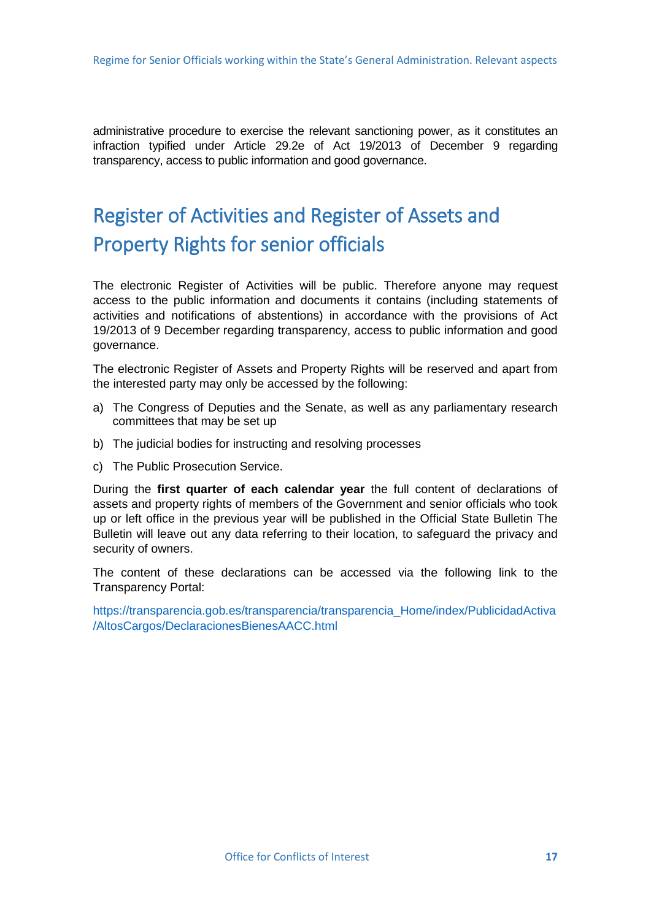<span id="page-19-0"></span>administrative procedure to exercise the relevant sanctioning power, as it constitutes an infraction typified under Article 29.2e of Act 19/2013 of December 9 regarding transparency, access to public information and good governance.

# Register of Activities and Register of Assets and Property Rights for senior officials

The electronic Register of Activities will be public. Therefore anyone may request access to the public information and documents it contains (including statements of activities and notifications of abstentions) in accordance with the provisions of Act 19/2013 of 9 December regarding transparency, access to public information and good governance.

The electronic Register of Assets and Property Rights will be reserved and apart from the interested party may only be accessed by the following:

- a) The Congress of Deputies and the Senate, as well as any parliamentary research committees that may be set up
- b) The judicial bodies for instructing and resolving processes
- c) The Public Prosecution Service.

During the **first quarter of each calendar year** the full content of declarations of assets and property rights of members of the Government and senior officials who took up or left office in the previous year will be published in the Official State Bulletin The Bulletin will leave out any data referring to their location, to safeguard the privacy and security of owners.

The content of these declarations can be accessed via the following link to the Transparency Portal:

[https://transparencia.gob.es/transparencia/transparencia\\_Home/index/PublicidadActiva](https://transparencia.gob.es/transparencia/transparencia_Home/index/PublicidadActiva/AltosCargos/DeclaracionesBienesAACC.html) [/AltosCargos/DeclaracionesBienesAACC.html](https://transparencia.gob.es/transparencia/transparencia_Home/index/PublicidadActiva/AltosCargos/DeclaracionesBienesAACC.html)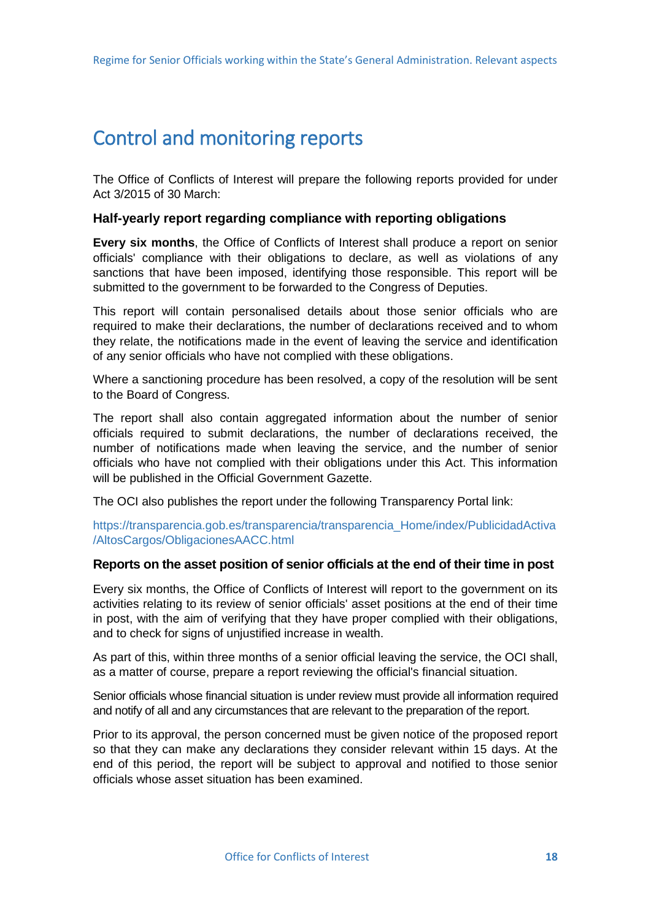## <span id="page-20-0"></span>Control and monitoring reports

The Office of Conflicts of Interest will prepare the following reports provided for under Act 3/2015 of 30 March:

#### **Half-yearly report regarding compliance with reporting obligations**

**Every six months**, the Office of Conflicts of Interest shall produce a report on senior officials' compliance with their obligations to declare, as well as violations of any sanctions that have been imposed, identifying those responsible. This report will be submitted to the government to be forwarded to the Congress of Deputies.

This report will contain personalised details about those senior officials who are required to make their declarations, the number of declarations received and to whom they relate, the notifications made in the event of leaving the service and identification of any senior officials who have not complied with these obligations.

Where a sanctioning procedure has been resolved, a copy of the resolution will be sent to the Board of Congress.

The report shall also contain aggregated information about the number of senior officials required to submit declarations, the number of declarations received, the number of notifications made when leaving the service, and the number of senior officials who have not complied with their obligations under this Act. This information will be published in the Official Government Gazette.

The OCI also publishes the report under the following Transparency Portal link:

[https://transparencia.gob.es/transparencia/transparencia\\_Home/index/PublicidadActiva](https://transparencia.gob.es/transparencia/transparencia_Home/index/PublicidadActiva/AltosCargos/ObligacionesAACC.html) [/AltosCargos/ObligacionesAACC.html](https://transparencia.gob.es/transparencia/transparencia_Home/index/PublicidadActiva/AltosCargos/ObligacionesAACC.html)

### **Reports on the asset position of senior officials at the end of their time in post**

Every six months, the Office of Conflicts of Interest will report to the government on its activities relating to its review of senior officials' asset positions at the end of their time in post, with the aim of verifying that they have proper complied with their obligations, and to check for signs of unjustified increase in wealth.

As part of this, within three months of a senior official leaving the service, the OCI shall, as a matter of course, prepare a report reviewing the official's financial situation.

Senior officials whose financial situation is under review must provide all information required and notify of all and any circumstances that are relevant to the preparation of the report.

Prior to its approval, the person concerned must be given notice of the proposed report so that they can make any declarations they consider relevant within 15 days. At the end of this period, the report will be subject to approval and notified to those senior officials whose asset situation has been examined.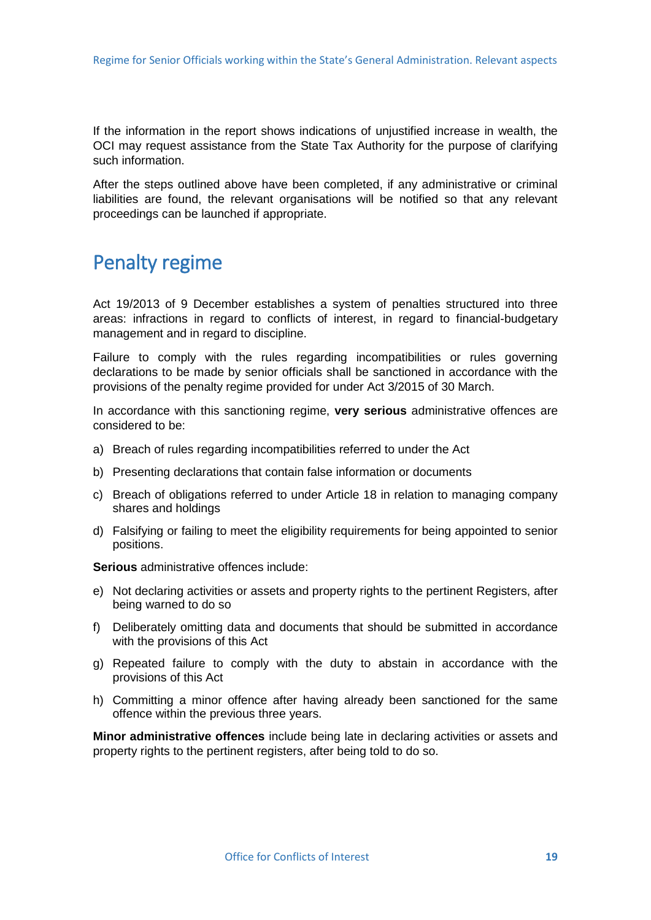<span id="page-21-0"></span>If the information in the report shows indications of unjustified increase in wealth, the OCI may request assistance from the State Tax Authority for the purpose of clarifying such information.

After the steps outlined above have been completed, if any administrative or criminal liabilities are found, the relevant organisations will be notified so that any relevant proceedings can be launched if appropriate.

### Penalty regime

Act 19/2013 of 9 December establishes a system of penalties structured into three areas: infractions in regard to conflicts of interest, in regard to financial-budgetary management and in regard to discipline.

Failure to comply with the rules regarding incompatibilities or rules governing declarations to be made by senior officials shall be sanctioned in accordance with the provisions of the penalty regime provided for under Act 3/2015 of 30 March.

In accordance with this sanctioning regime, **very serious** administrative offences are considered to be:

- a) Breach of rules regarding incompatibilities referred to under the Act
- b) Presenting declarations that contain false information or documents
- c) Breach of obligations referred to under Article 18 in relation to managing company shares and holdings
- d) Falsifying or failing to meet the eligibility requirements for being appointed to senior positions.

**Serious** administrative offences include:

- e) Not declaring activities or assets and property rights to the pertinent Registers, after being warned to do so
- f) Deliberately omitting data and documents that should be submitted in accordance with the provisions of this Act
- g) Repeated failure to comply with the duty to abstain in accordance with the provisions of this Act
- h) Committing a minor offence after having already been sanctioned for the same offence within the previous three years.

**Minor administrative offences** include being late in declaring activities or assets and property rights to the pertinent registers, after being told to do so.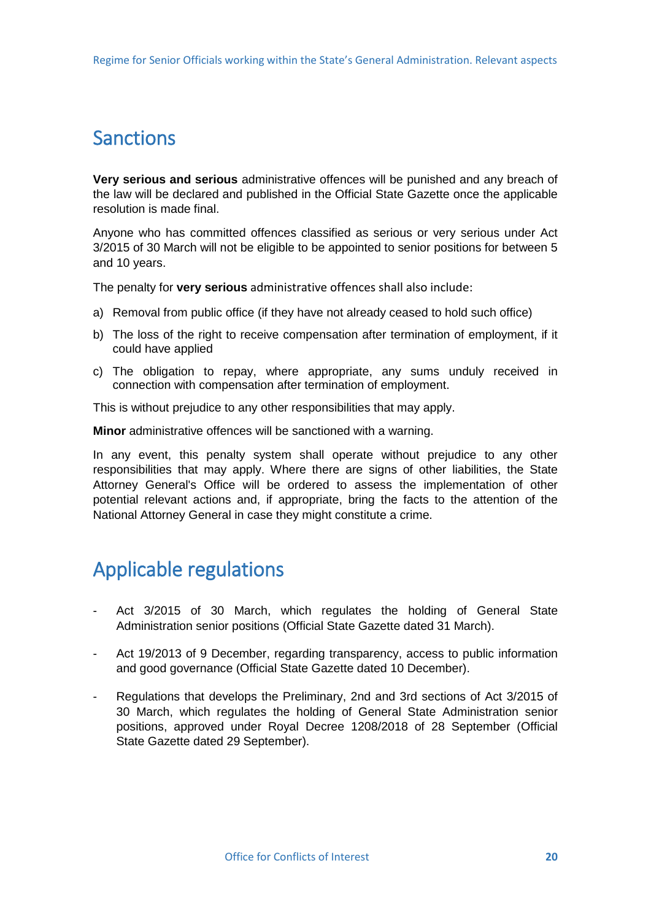# <span id="page-22-0"></span>Sanctions

**Very serious and serious** administrative offences will be punished and any breach of the law will be declared and published in the Official State Gazette once the applicable resolution is made final.

Anyone who has committed offences classified as serious or very serious under Act 3/2015 of 30 March will not be eligible to be appointed to senior positions for between 5 and 10 years.

The penalty for **very serious** administrative offences shall also include:

- a) Removal from public office (if they have not already ceased to hold such office)
- b) The loss of the right to receive compensation after termination of employment, if it could have applied
- c) The obligation to repay, where appropriate, any sums unduly received in connection with compensation after termination of employment.

This is without prejudice to any other responsibilities that may apply.

**Minor** administrative offences will be sanctioned with a warning.

In any event, this penalty system shall operate without prejudice to any other responsibilities that may apply. Where there are signs of other liabilities, the State Attorney General's Office will be ordered to assess the implementation of other potential relevant actions and, if appropriate, bring the facts to the attention of the National Attorney General in case they might constitute a crime.

# Applicable regulations

- Act 3/2015 of 30 March, which regulates the holding of General State Administration senior positions (Official State Gazette dated 31 March).
- Act 19/2013 of 9 December, regarding transparency, access to public information and good governance (Official State Gazette dated 10 December).
- Regulations that develops the Preliminary, 2nd and 3rd sections of Act 3/2015 of 30 March, which regulates the holding of General State Administration senior positions, approved under Royal Decree 1208/2018 of 28 September (Official State Gazette dated 29 September).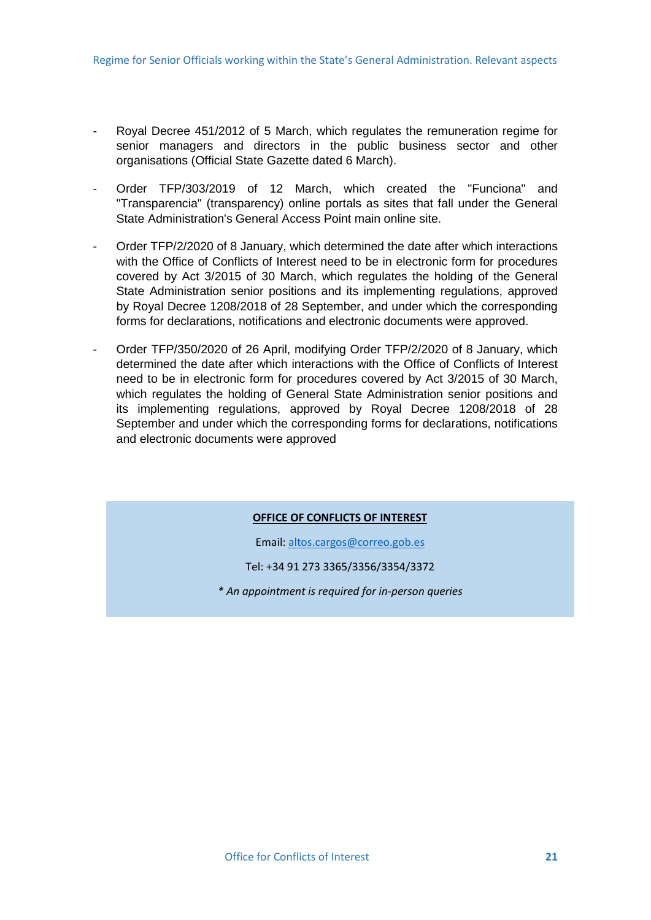- Royal Decree 451/2012 of 5 March, which regulates the remuneration regime for senior managers and directors in the public business sector and other organisations (Official State Gazette dated 6 March).
- Order TFP/303/2019 of 12 March, which created the "Funciona" and "Transparencia" (transparency) online portals as sites that fall under the General State Administration's General Access Point main online site.
- Order TFP/2/2020 of 8 January, which determined the date after which interactions with the Office of Conflicts of Interest need to be in electronic form for procedures covered by Act 3/2015 of 30 March, which regulates the holding of the General State Administration senior positions and its implementing regulations, approved by Royal Decree 1208/2018 of 28 September, and under which the corresponding forms for declarations, notifications and electronic documents were approved.
- Order TFP/350/2020 of 26 April, modifying Order TFP/2/2020 of 8 January, which determined the date after which interactions with the Office of Conflicts of Interest need to be in electronic form for procedures covered by Act 3/2015 of 30 March, which regulates the holding of General State Administration senior positions and its implementing regulations, approved by Royal Decree 1208/2018 of 28 September and under which the corresponding forms for declarations, notifications and electronic documents were approved

#### **OFFICE OF CONFLICTS OF INTEREST**

Email[: altos.cargos@correo.gob.es](mailto:altos.cargos@mpr.es)

Tel: +34 91 273 3365/3356/3354/3372

*\* An appointment is required for in-person queries*